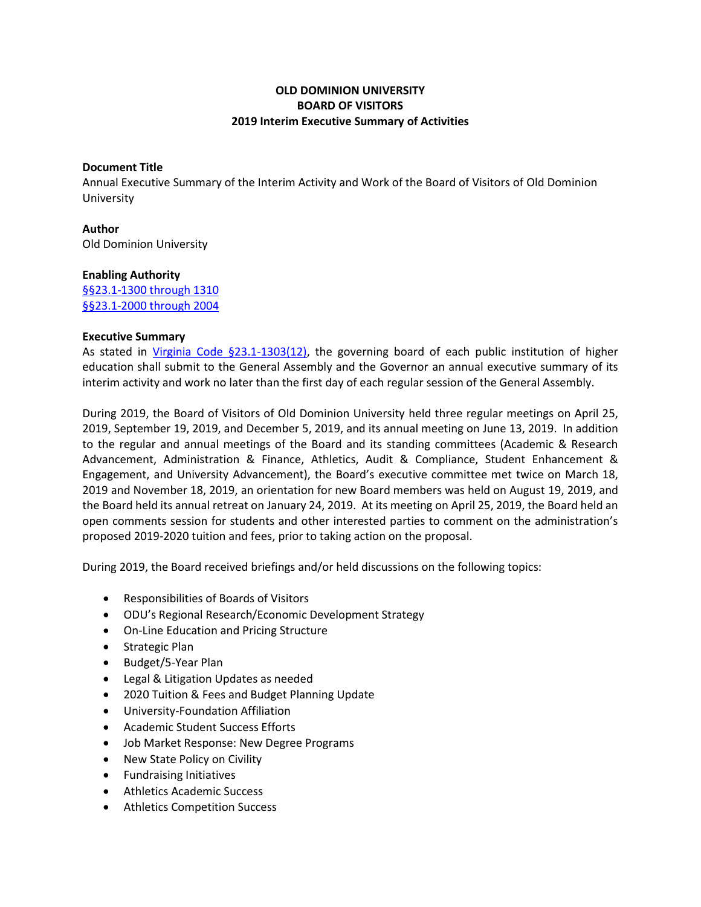## **OLD DOMINION UNIVERSITY BOARD OF VISITORS 2019 Interim Executive Summary of Activities**

## **Document Title**

Annual Executive Summary of the Interim Activity and Work of the Board of Visitors of Old Dominion University

**Author** Old Dominion University

## **Enabling Authority**

[§§23.1-1300 through 1310](https://law.lis.virginia.gov/vacode/title23.1/chapter13/) [§§23.1-2000 through 2004](https://law.lis.virginia.gov/vacode/title23.1/chapter20/)

## **Executive Summary**

As stated in [Virginia Code §23.1-1303\(12\),](https://law.lis.virginia.gov/vacode/title23.1/chapter13/section23.1-1303/) the governing board of each public institution of higher education shall submit to the General Assembly and the Governor an annual executive summary of its interim activity and work no later than the first day of each regular session of the General Assembly.

During 2019, the Board of Visitors of Old Dominion University held three regular meetings on April 25, 2019, September 19, 2019, and December 5, 2019, and its annual meeting on June 13, 2019. In addition to the regular and annual meetings of the Board and its standing committees (Academic & Research Advancement, Administration & Finance, Athletics, Audit & Compliance, Student Enhancement & Engagement, and University Advancement), the Board's executive committee met twice on March 18, 2019 and November 18, 2019, an orientation for new Board members was held on August 19, 2019, and the Board held its annual retreat on January 24, 2019. At its meeting on April 25, 2019, the Board held an open comments session for students and other interested parties to comment on the administration's proposed 2019-2020 tuition and fees, prior to taking action on the proposal.

During 2019, the Board received briefings and/or held discussions on the following topics:

- Responsibilities of Boards of Visitors
- ODU's Regional Research/Economic Development Strategy
- On-Line Education and Pricing Structure
- Strategic Plan
- Budget/5-Year Plan
- Legal & Litigation Updates as needed
- 2020 Tuition & Fees and Budget Planning Update
- University-Foundation Affiliation
- Academic Student Success Efforts
- Job Market Response: New Degree Programs
- New State Policy on Civility
- **•** Fundraising Initiatives
- Athletics Academic Success
- Athletics Competition Success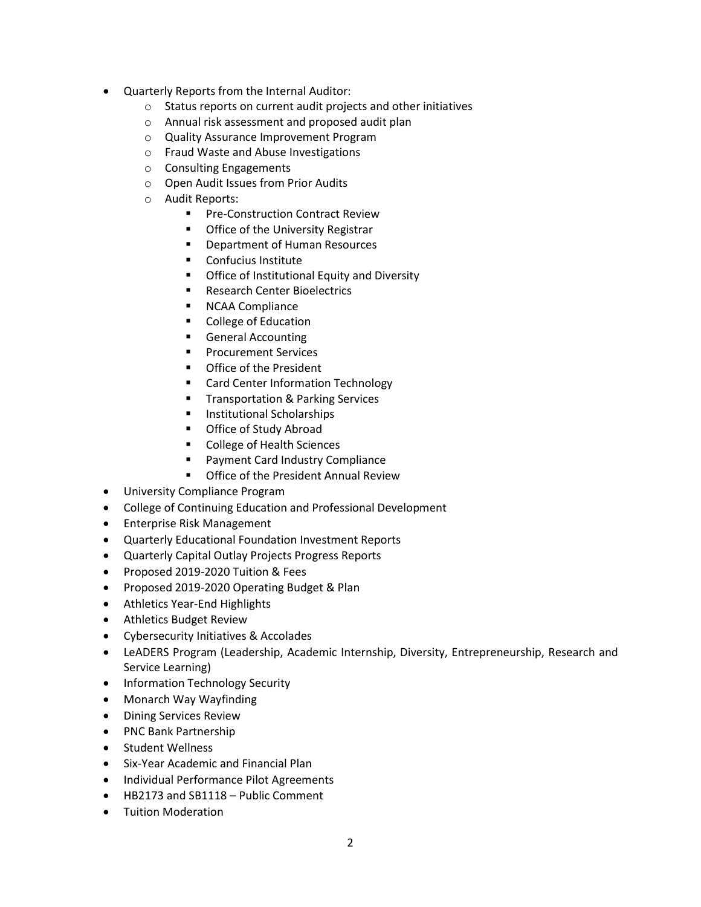- Quarterly Reports from the Internal Auditor:
	- o Status reports on current audit projects and other initiatives
	- o Annual risk assessment and proposed audit plan
	- o Quality Assurance Improvement Program
	- o Fraud Waste and Abuse Investigations
	- o Consulting Engagements
	- o Open Audit Issues from Prior Audits
	- o Audit Reports:
		- **Pre-Construction Contract Review**
		- **Office of the University Registrar**
		- **•** Department of Human Resources
		- **Confucius Institute**
		- **•** Office of Institutional Equity and Diversity
		- **Research Center Bioelectrics**
		- **NCAA Compliance**
		- **College of Education**
		- **General Accounting**
		- **Procurement Services**
		- **•** Office of the President
		- **EXECT** Card Center Information Technology
		- **Transportation & Parking Services**
		- **Institutional Scholarships**
		- **Office of Study Abroad**
		- College of Health Sciences
		- **Payment Card Industry Compliance**
		- **Office of the President Annual Review**
- University Compliance Program
- College of Continuing Education and Professional Development
- **•** Enterprise Risk Management
- Quarterly Educational Foundation Investment Reports
- Quarterly Capital Outlay Projects Progress Reports
- Proposed 2019-2020 Tuition & Fees
- Proposed 2019-2020 Operating Budget & Plan
- Athletics Year-End Highlights
- Athletics Budget Review
- Cybersecurity Initiatives & Accolades
- LeADERS Program (Leadership, Academic Internship, Diversity, Entrepreneurship, Research and Service Learning)
- Information Technology Security
- Monarch Way Wayfinding
- Dining Services Review
- PNC Bank Partnership
- Student Wellness
- Six-Year Academic and Financial Plan
- Individual Performance Pilot Agreements
- HB2173 and SB1118 Public Comment
- Tuition Moderation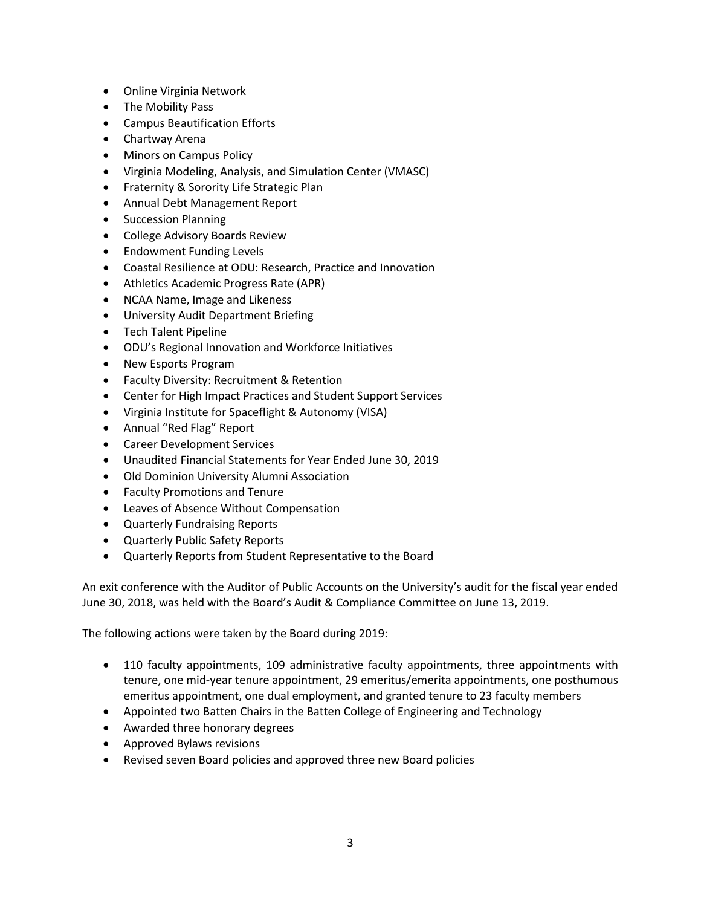- Online Virginia Network
- The Mobility Pass
- Campus Beautification Efforts
- Chartway Arena
- Minors on Campus Policy
- Virginia Modeling, Analysis, and Simulation Center (VMASC)
- **•** Fraternity & Sorority Life Strategic Plan
- Annual Debt Management Report
- Succession Planning
- College Advisory Boards Review
- Endowment Funding Levels
- Coastal Resilience at ODU: Research, Practice and Innovation
- Athletics Academic Progress Rate (APR)
- NCAA Name, Image and Likeness
- University Audit Department Briefing
- Tech Talent Pipeline
- ODU's Regional Innovation and Workforce Initiatives
- New Esports Program
- **•** Faculty Diversity: Recruitment & Retention
- Center for High Impact Practices and Student Support Services
- Virginia Institute for Spaceflight & Autonomy (VISA)
- Annual "Red Flag" Report
- Career Development Services
- Unaudited Financial Statements for Year Ended June 30, 2019
- Old Dominion University Alumni Association
- Faculty Promotions and Tenure
- Leaves of Absence Without Compensation
- Quarterly Fundraising Reports
- Quarterly Public Safety Reports
- Quarterly Reports from Student Representative to the Board

An exit conference with the Auditor of Public Accounts on the University's audit for the fiscal year ended June 30, 2018, was held with the Board's Audit & Compliance Committee on June 13, 2019.

The following actions were taken by the Board during 2019:

- 110 faculty appointments, 109 administrative faculty appointments, three appointments with tenure, one mid-year tenure appointment, 29 emeritus/emerita appointments, one posthumous emeritus appointment, one dual employment, and granted tenure to 23 faculty members
- Appointed two Batten Chairs in the Batten College of Engineering and Technology
- Awarded three honorary degrees
- Approved Bylaws revisions
- Revised seven Board policies and approved three new Board policies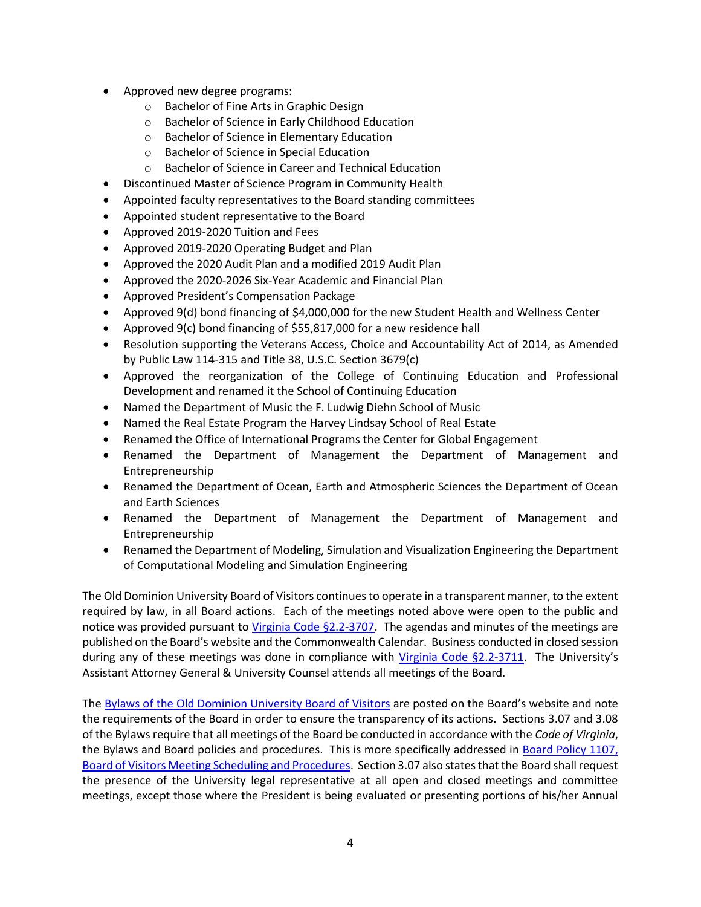- Approved new degree programs:
	- o Bachelor of Fine Arts in Graphic Design
	- o Bachelor of Science in Early Childhood Education
	- o Bachelor of Science in Elementary Education
	- o Bachelor of Science in Special Education
	- o Bachelor of Science in Career and Technical Education
- Discontinued Master of Science Program in Community Health
- Appointed faculty representatives to the Board standing committees
- Appointed student representative to the Board
- Approved 2019-2020 Tuition and Fees
- Approved 2019-2020 Operating Budget and Plan
- Approved the 2020 Audit Plan and a modified 2019 Audit Plan
- Approved the 2020-2026 Six-Year Academic and Financial Plan
- Approved President's Compensation Package
- Approved 9(d) bond financing of \$4,000,000 for the new Student Health and Wellness Center
- Approved 9(c) bond financing of \$55,817,000 for a new residence hall
- Resolution supporting the Veterans Access, Choice and Accountability Act of 2014, as Amended by Public Law 114-315 and Title 38, U.S.C. Section 3679(c)
- Approved the reorganization of the College of Continuing Education and Professional Development and renamed it the School of Continuing Education
- Named the Department of Music the F. Ludwig Diehn School of Music
- Named the Real Estate Program the Harvey Lindsay School of Real Estate
- Renamed the Office of International Programs the Center for Global Engagement
- Renamed the Department of Management the Department of Management and Entrepreneurship
- Renamed the Department of Ocean, Earth and Atmospheric Sciences the Department of Ocean and Earth Sciences
- Renamed the Department of Management the Department of Management and Entrepreneurship
- Renamed the Department of Modeling, Simulation and Visualization Engineering the Department of Computational Modeling and Simulation Engineering

The Old Dominion University Board of Visitors continues to operate in a transparent manner, to the extent required by law, in all Board actions. Each of the meetings noted above were open to the public and notice was provided pursuant to [Virginia Code §2.2-3707.](https://law.lis.virginia.gov/vacode/2.2-3707/) The agendas and minutes of the meetings are published on the Board's website and the Commonwealth Calendar. Business conducted in closed session during any of these meetings was done in compliance with [Virginia Code §2.2-3711.](https://law.lis.virginia.gov/vacode/2.2-3711/) The University's Assistant Attorney General & University Counsel attends all meetings of the Board.

The [Bylaws of the Old Dominion University Board of Visitors](http://www.odu.edu/about/bov/bov-manual/bylaws) are posted on the Board's website and note the requirements of the Board in order to ensure the transparency of its actions. Sections 3.07 and 3.08 of the Bylaws require that all meetings of the Board be conducted in accordance with the *Code of Virginia*, the Bylaws and Board policies and procedures. This is more specifically addressed in [Board Policy 1107,](http://www.odu.edu/content/dam/odu/offices/bov/policies/1100/BOV1107.pdf)  [Board of Visitors Meeting Scheduling and Procedures.](http://www.odu.edu/content/dam/odu/offices/bov/policies/1100/BOV1107.pdf) Section 3.07 also states that the Board shall request the presence of the University legal representative at all open and closed meetings and committee meetings, except those where the President is being evaluated or presenting portions of his/her Annual